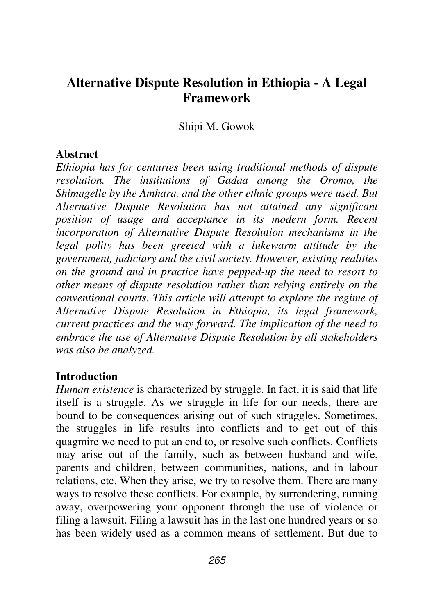# **Alternative Dispute Resolution in Ethiopia - A Legal Framework**

Shipi M. Gowok

#### **Abstract**

*Ethiopia has for centuries been using traditional methods of dispute resolution. The institutions of Gadaa among the Oromo, the Shimagelle by the Amhara, and the other ethnic groups were used. But Alternative Dispute Resolution has not attained any significant position of usage and acceptance in its modern form. Recent incorporation of Alternative Dispute Resolution mechanisms in the legal polity has been greeted with a lukewarm attitude by the government, judiciary and the civil society. However, existing realities on the ground and in practice have pepped-up the need to resort to other means of dispute resolution rather than relying entirely on the conventional courts. This article will attempt to explore the regime of Alternative Dispute Resolution in Ethiopia, its legal framework, current practices and the way forward. The implication of the need to embrace the use of Alternative Dispute Resolution by all stakeholders was also be analyzed.* 

#### **Introduction**

*Human existence* is characterized by struggle. In fact, it is said that life itself is a struggle. As we struggle in life for our needs, there are bound to be consequences arising out of such struggles. Sometimes, the struggles in life results into conflicts and to get out of this quagmire we need to put an end to, or resolve such conflicts. Conflicts may arise out of the family, such as between husband and wife, parents and children, between communities, nations, and in labour relations, etc. When they arise, we try to resolve them. There are many ways to resolve these conflicts. For example, by surrendering, running away, overpowering your opponent through the use of violence or filing a lawsuit. Filing a lawsuit has in the last one hundred years or so has been widely used as a common means of settlement. But due to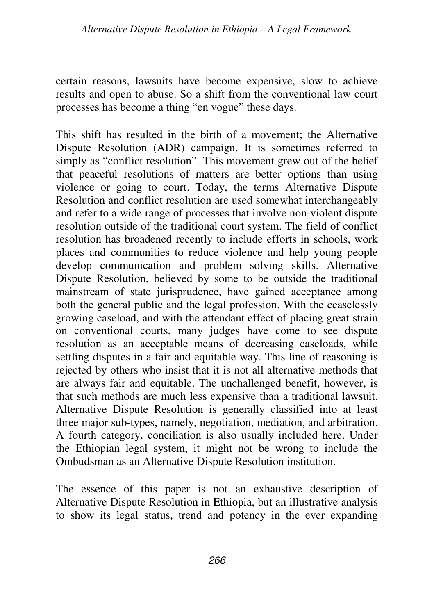certain reasons, lawsuits have become expensive, slow to achieve results and open to abuse. So a shift from the conventional law court processes has become a thing "en vogue" these days.

This shift has resulted in the birth of a movement; the Alternative Dispute Resolution (ADR) campaign. It is sometimes referred to simply as "conflict resolution". This movement grew out of the belief that peaceful resolutions of matters are better options than using violence or going to court. Today, the terms Alternative Dispute Resolution and conflict resolution are used somewhat interchangeably and refer to a wide range of processes that involve non-violent dispute resolution outside of the traditional court system. The field of conflict resolution has broadened recently to include efforts in schools, work places and communities to reduce violence and help young people develop communication and problem solving skills. Alternative Dispute Resolution, believed by some to be outside the traditional mainstream of state jurisprudence, have gained acceptance among both the general public and the legal profession. With the ceaselessly growing caseload, and with the attendant effect of placing great strain on conventional courts, many judges have come to see dispute resolution as an acceptable means of decreasing caseloads, while settling disputes in a fair and equitable way. This line of reasoning is rejected by others who insist that it is not all alternative methods that are always fair and equitable. The unchallenged benefit, however, is that such methods are much less expensive than a traditional lawsuit. Alternative Dispute Resolution is generally classified into at least three major sub-types, namely, negotiation, mediation, and arbitration. A fourth category, conciliation is also usually included here. Under the Ethiopian legal system, it might not be wrong to include the Ombudsman as an Alternative Dispute Resolution institution.

The essence of this paper is not an exhaustive description of Alternative Dispute Resolution in Ethiopia, but an illustrative analysis to show its legal status, trend and potency in the ever expanding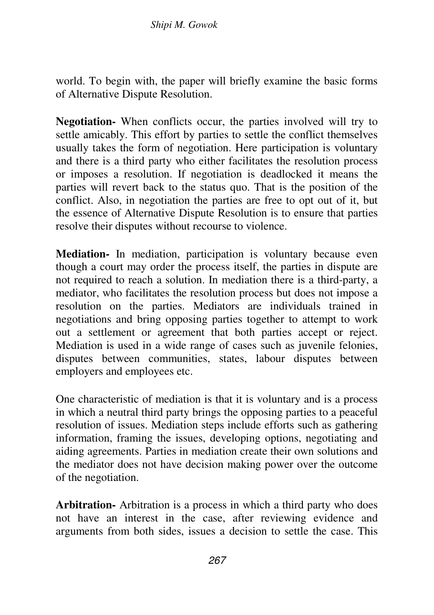world. To begin with, the paper will briefly examine the basic forms of Alternative Dispute Resolution.

**Negotiation-** When conflicts occur, the parties involved will try to settle amicably. This effort by parties to settle the conflict themselves usually takes the form of negotiation. Here participation is voluntary and there is a third party who either facilitates the resolution process or imposes a resolution. If negotiation is deadlocked it means the parties will revert back to the status quo. That is the position of the conflict. Also, in negotiation the parties are free to opt out of it, but the essence of Alternative Dispute Resolution is to ensure that parties resolve their disputes without recourse to violence.

**Mediation-** In mediation, participation is voluntary because even though a court may order the process itself, the parties in dispute are not required to reach a solution. In mediation there is a third-party, a mediator, who facilitates the resolution process but does not impose a resolution on the parties. Mediators are individuals trained in negotiations and bring opposing parties together to attempt to work out a settlement or agreement that both parties accept or reject. Mediation is used in a wide range of cases such as juvenile felonies, disputes between communities, states, labour disputes between employers and employees etc.

One characteristic of mediation is that it is voluntary and is a process in which a neutral third party brings the opposing parties to a peaceful resolution of issues. Mediation steps include efforts such as gathering information, framing the issues, developing options, negotiating and aiding agreements. Parties in mediation create their own solutions and the mediator does not have decision making power over the outcome of the negotiation.

**Arbitration-** Arbitration is a process in which a third party who does not have an interest in the case, after reviewing evidence and arguments from both sides, issues a decision to settle the case. This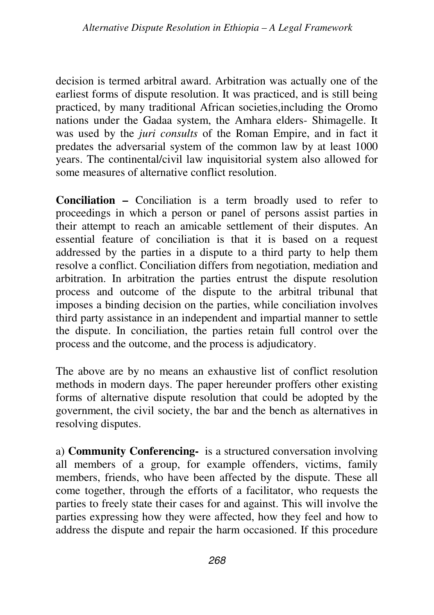decision is termed arbitral award. Arbitration was actually one of the earliest forms of dispute resolution. It was practiced, and is still being practiced, by many traditional African societies,including the Oromo nations under the Gadaa system, the Amhara elders- Shimagelle. It was used by the *juri consults* of the Roman Empire, and in fact it predates the adversarial system of the common law by at least 1000 years. The continental/civil law inquisitorial system also allowed for some measures of alternative conflict resolution.

**Conciliation –** Conciliation is a term broadly used to refer to proceedings in which a person or panel of persons assist parties in their attempt to reach an amicable settlement of their disputes. An essential feature of conciliation is that it is based on a request addressed by the parties in a dispute to a third party to help them resolve a conflict. Conciliation differs from negotiation, mediation and arbitration. In arbitration the parties entrust the dispute resolution process and outcome of the dispute to the arbitral tribunal that imposes a binding decision on the parties, while conciliation involves third party assistance in an independent and impartial manner to settle the dispute. In conciliation, the parties retain full control over the process and the outcome, and the process is adjudicatory.

The above are by no means an exhaustive list of conflict resolution methods in modern days. The paper hereunder proffers other existing forms of alternative dispute resolution that could be adopted by the government, the civil society, the bar and the bench as alternatives in resolving disputes.

a) **Community Conferencing-** is a structured conversation involving all members of a group, for example offenders, victims, family members, friends, who have been affected by the dispute. These all come together, through the efforts of a facilitator, who requests the parties to freely state their cases for and against. This will involve the parties expressing how they were affected, how they feel and how to address the dispute and repair the harm occasioned. If this procedure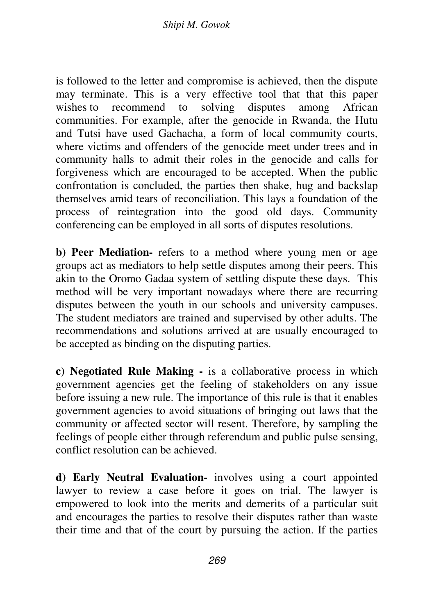is followed to the letter and compromise is achieved, then the dispute may terminate. This is a very effective tool that that this paper wishes to recommend to solving disputes among African communities. For example, after the genocide in Rwanda, the Hutu and Tutsi have used Gachacha, a form of local community courts, where victims and offenders of the genocide meet under trees and in community halls to admit their roles in the genocide and calls for forgiveness which are encouraged to be accepted. When the public confrontation is concluded, the parties then shake, hug and backslap themselves amid tears of reconciliation. This lays a foundation of the process of reintegration into the good old days. Community conferencing can be employed in all sorts of disputes resolutions.

**b) Peer Mediation-** refers to a method where young men or age groups act as mediators to help settle disputes among their peers. This akin to the Oromo Gadaa system of settling dispute these days. This method will be very important nowadays where there are recurring disputes between the youth in our schools and university campuses. The student mediators are trained and supervised by other adults. The recommendations and solutions arrived at are usually encouraged to be accepted as binding on the disputing parties.

**c) Negotiated Rule Making -** is a collaborative process in which government agencies get the feeling of stakeholders on any issue before issuing a new rule. The importance of this rule is that it enables government agencies to avoid situations of bringing out laws that the community or affected sector will resent. Therefore, by sampling the feelings of people either through referendum and public pulse sensing, conflict resolution can be achieved.

**d) Early Neutral Evaluation-** involves using a court appointed lawyer to review a case before it goes on trial. The lawyer is empowered to look into the merits and demerits of a particular suit and encourages the parties to resolve their disputes rather than waste their time and that of the court by pursuing the action. If the parties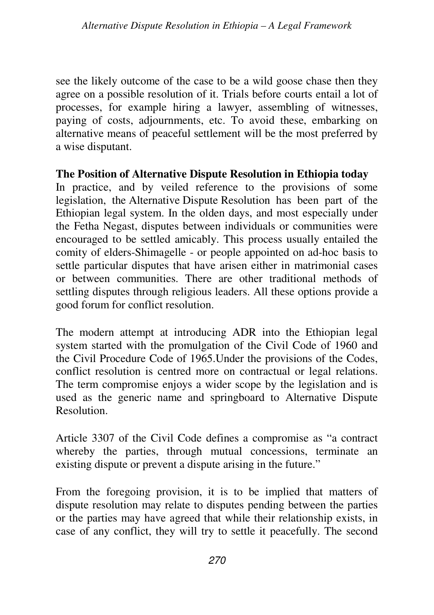see the likely outcome of the case to be a wild goose chase then they agree on a possible resolution of it. Trials before courts entail a lot of processes, for example hiring a lawyer, assembling of witnesses, paying of costs, adjournments, etc. To avoid these, embarking on alternative means of peaceful settlement will be the most preferred by a wise disputant.

## **The Position of Alternative Dispute Resolution in Ethiopia today**

In practice, and by veiled reference to the provisions of some legislation, the Alternative Dispute Resolution has been part of the Ethiopian legal system. In the olden days, and most especially under the Fetha Negast, disputes between individuals or communities were encouraged to be settled amicably. This process usually entailed the comity of elders-Shimagelle - or people appointed on ad-hoc basis to settle particular disputes that have arisen either in matrimonial cases or between communities. There are other traditional methods of settling disputes through religious leaders. All these options provide a good forum for conflict resolution.

The modern attempt at introducing ADR into the Ethiopian legal system started with the promulgation of the Civil Code of 1960 and the Civil Procedure Code of 1965.Under the provisions of the Codes, conflict resolution is centred more on contractual or legal relations. The term compromise enjoys a wider scope by the legislation and is used as the generic name and springboard to Alternative Dispute Resolution.

Article 3307 of the Civil Code defines a compromise as "a contract whereby the parties, through mutual concessions, terminate an existing dispute or prevent a dispute arising in the future."

From the foregoing provision, it is to be implied that matters of dispute resolution may relate to disputes pending between the parties or the parties may have agreed that while their relationship exists, in case of any conflict, they will try to settle it peacefully. The second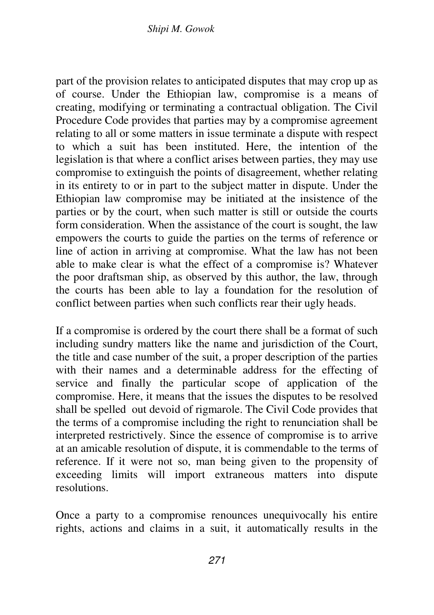part of the provision relates to anticipated disputes that may crop up as of course. Under the Ethiopian law, compromise is a means of creating, modifying or terminating a contractual obligation. The Civil Procedure Code provides that parties may by a compromise agreement relating to all or some matters in issue terminate a dispute with respect to which a suit has been instituted. Here, the intention of the legislation is that where a conflict arises between parties, they may use compromise to extinguish the points of disagreement, whether relating in its entirety to or in part to the subject matter in dispute. Under the Ethiopian law compromise may be initiated at the insistence of the parties or by the court, when such matter is still or outside the courts form consideration. When the assistance of the court is sought, the law empowers the courts to guide the parties on the terms of reference or line of action in arriving at compromise. What the law has not been able to make clear is what the effect of a compromise is? Whatever the poor draftsman ship, as observed by this author, the law, through the courts has been able to lay a foundation for the resolution of conflict between parties when such conflicts rear their ugly heads.

If a compromise is ordered by the court there shall be a format of such including sundry matters like the name and jurisdiction of the Court, the title and case number of the suit, a proper description of the parties with their names and a determinable address for the effecting of service and finally the particular scope of application of the compromise. Here, it means that the issues the disputes to be resolved shall be spelled out devoid of rigmarole. The Civil Code provides that the terms of a compromise including the right to renunciation shall be interpreted restrictively. Since the essence of compromise is to arrive at an amicable resolution of dispute, it is commendable to the terms of reference. If it were not so, man being given to the propensity of exceeding limits will import extraneous matters into dispute resolutions.

Once a party to a compromise renounces unequivocally his entire rights, actions and claims in a suit, it automatically results in the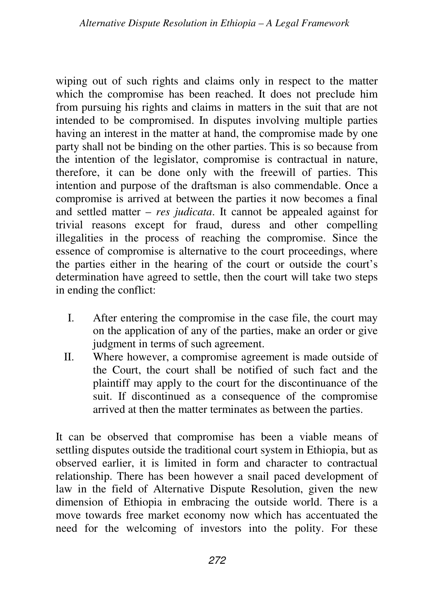wiping out of such rights and claims only in respect to the matter which the compromise has been reached. It does not preclude him from pursuing his rights and claims in matters in the suit that are not intended to be compromised. In disputes involving multiple parties having an interest in the matter at hand, the compromise made by one party shall not be binding on the other parties. This is so because from the intention of the legislator, compromise is contractual in nature, therefore, it can be done only with the freewill of parties. This intention and purpose of the draftsman is also commendable. Once a compromise is arrived at between the parties it now becomes a final and settled matter – *res judicata*. It cannot be appealed against for trivial reasons except for fraud, duress and other compelling illegalities in the process of reaching the compromise. Since the essence of compromise is alternative to the court proceedings, where the parties either in the hearing of the court or outside the court's determination have agreed to settle, then the court will take two steps in ending the conflict:

- I. After entering the compromise in the case file, the court may on the application of any of the parties, make an order or give judgment in terms of such agreement.
- II. Where however, a compromise agreement is made outside of the Court, the court shall be notified of such fact and the plaintiff may apply to the court for the discontinuance of the suit. If discontinued as a consequence of the compromise arrived at then the matter terminates as between the parties.

It can be observed that compromise has been a viable means of settling disputes outside the traditional court system in Ethiopia, but as observed earlier, it is limited in form and character to contractual relationship. There has been however a snail paced development of law in the field of Alternative Dispute Resolution, given the new dimension of Ethiopia in embracing the outside world. There is a move towards free market economy now which has accentuated the need for the welcoming of investors into the polity. For these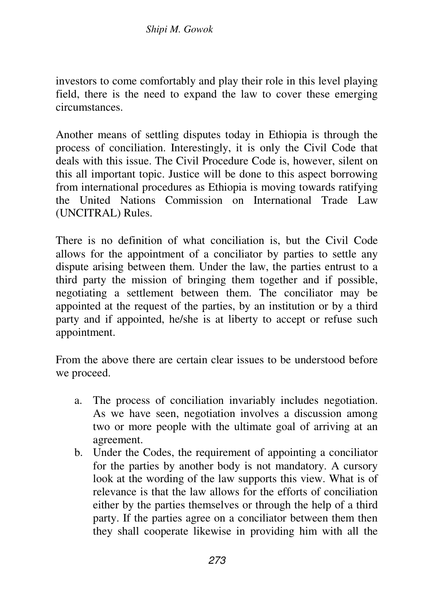investors to come comfortably and play their role in this level playing field, there is the need to expand the law to cover these emerging circumstances.

Another means of settling disputes today in Ethiopia is through the process of conciliation. Interestingly, it is only the Civil Code that deals with this issue. The Civil Procedure Code is, however, silent on this all important topic. Justice will be done to this aspect borrowing from international procedures as Ethiopia is moving towards ratifying the United Nations Commission on International Trade Law (UNCITRAL) Rules.

There is no definition of what conciliation is, but the Civil Code allows for the appointment of a conciliator by parties to settle any dispute arising between them. Under the law, the parties entrust to a third party the mission of bringing them together and if possible, negotiating a settlement between them. The conciliator may be appointed at the request of the parties, by an institution or by a third party and if appointed, he/she is at liberty to accept or refuse such appointment.

From the above there are certain clear issues to be understood before we proceed.

- a. The process of conciliation invariably includes negotiation. As we have seen, negotiation involves a discussion among two or more people with the ultimate goal of arriving at an agreement.
- b. Under the Codes, the requirement of appointing a conciliator for the parties by another body is not mandatory. A cursory look at the wording of the law supports this view. What is of relevance is that the law allows for the efforts of conciliation either by the parties themselves or through the help of a third party. If the parties agree on a conciliator between them then they shall cooperate likewise in providing him with all the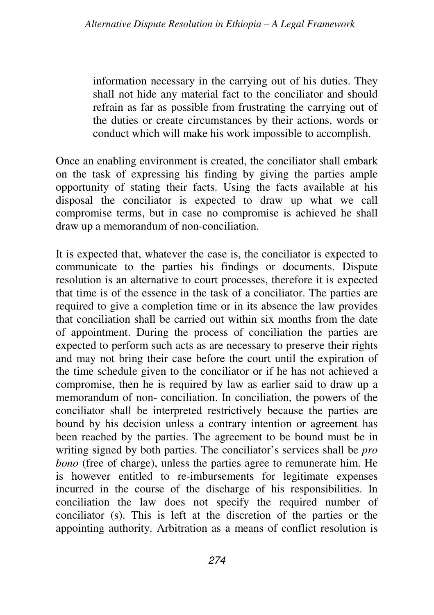information necessary in the carrying out of his duties. They shall not hide any material fact to the conciliator and should refrain as far as possible from frustrating the carrying out of the duties or create circumstances by their actions, words or conduct which will make his work impossible to accomplish.

Once an enabling environment is created, the conciliator shall embark on the task of expressing his finding by giving the parties ample opportunity of stating their facts. Using the facts available at his disposal the conciliator is expected to draw up what we call compromise terms, but in case no compromise is achieved he shall draw up a memorandum of non-conciliation.

It is expected that, whatever the case is, the conciliator is expected to communicate to the parties his findings or documents. Dispute resolution is an alternative to court processes, therefore it is expected that time is of the essence in the task of a conciliator. The parties are required to give a completion time or in its absence the law provides that conciliation shall be carried out within six months from the date of appointment. During the process of conciliation the parties are expected to perform such acts as are necessary to preserve their rights and may not bring their case before the court until the expiration of the time schedule given to the conciliator or if he has not achieved a compromise, then he is required by law as earlier said to draw up a memorandum of non- conciliation. In conciliation, the powers of the conciliator shall be interpreted restrictively because the parties are bound by his decision unless a contrary intention or agreement has been reached by the parties. The agreement to be bound must be in writing signed by both parties. The conciliator's services shall be *pro bono* (free of charge), unless the parties agree to remunerate him. He is however entitled to re-imbursements for legitimate expenses incurred in the course of the discharge of his responsibilities. In conciliation the law does not specify the required number of conciliator (s). This is left at the discretion of the parties or the appointing authority. Arbitration as a means of conflict resolution is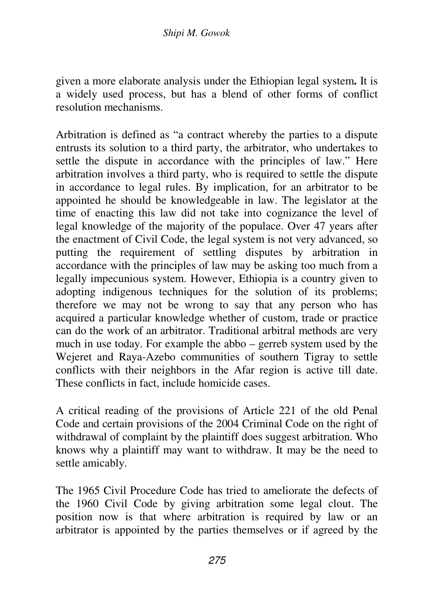given a more elaborate analysis under the Ethiopian legal system**.** It is a widely used process, but has a blend of other forms of conflict resolution mechanisms.

Arbitration is defined as "a contract whereby the parties to a dispute entrusts its solution to a third party, the arbitrator, who undertakes to settle the dispute in accordance with the principles of law." Here arbitration involves a third party, who is required to settle the dispute in accordance to legal rules. By implication, for an arbitrator to be appointed he should be knowledgeable in law. The legislator at the time of enacting this law did not take into cognizance the level of legal knowledge of the majority of the populace. Over 47 years after the enactment of Civil Code, the legal system is not very advanced, so putting the requirement of settling disputes by arbitration in accordance with the principles of law may be asking too much from a legally impecunious system. However, Ethiopia is a country given to adopting indigenous techniques for the solution of its problems; therefore we may not be wrong to say that any person who has acquired a particular knowledge whether of custom, trade or practice can do the work of an arbitrator. Traditional arbitral methods are very much in use today. For example the abbo – gerreb system used by the Wejeret and Raya-Azebo communities of southern Tigray to settle conflicts with their neighbors in the Afar region is active till date. These conflicts in fact, include homicide cases.

A critical reading of the provisions of Article 221 of the old Penal Code and certain provisions of the 2004 Criminal Code on the right of withdrawal of complaint by the plaintiff does suggest arbitration. Who knows why a plaintiff may want to withdraw. It may be the need to settle amicably.

The 1965 Civil Procedure Code has tried to ameliorate the defects of the 1960 Civil Code by giving arbitration some legal clout. The position now is that where arbitration is required by law or an arbitrator is appointed by the parties themselves or if agreed by the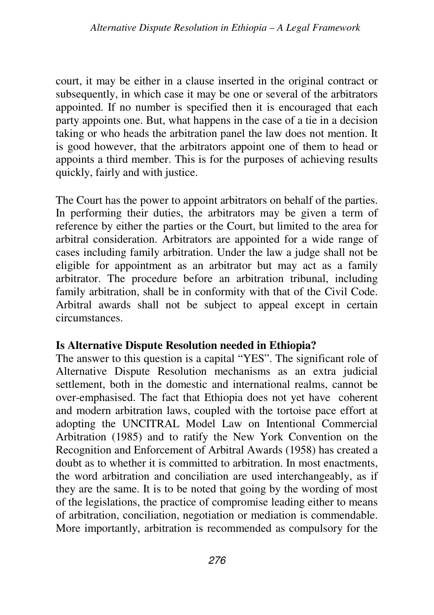court, it may be either in a clause inserted in the original contract or subsequently, in which case it may be one or several of the arbitrators appointed. If no number is specified then it is encouraged that each party appoints one. But, what happens in the case of a tie in a decision taking or who heads the arbitration panel the law does not mention. It is good however, that the arbitrators appoint one of them to head or appoints a third member. This is for the purposes of achieving results quickly, fairly and with justice.

The Court has the power to appoint arbitrators on behalf of the parties. In performing their duties, the arbitrators may be given a term of reference by either the parties or the Court, but limited to the area for arbitral consideration. Arbitrators are appointed for a wide range of cases including family arbitration. Under the law a judge shall not be eligible for appointment as an arbitrator but may act as a family arbitrator. The procedure before an arbitration tribunal, including family arbitration, shall be in conformity with that of the Civil Code. Arbitral awards shall not be subject to appeal except in certain circumstances.

#### **Is Alternative Dispute Resolution needed in Ethiopia?**

The answer to this question is a capital "YES". The significant role of Alternative Dispute Resolution mechanisms as an extra judicial settlement, both in the domestic and international realms, cannot be over-emphasised. The fact that Ethiopia does not yet have coherent and modern arbitration laws, coupled with the tortoise pace effort at adopting the UNCITRAL Model Law on Intentional Commercial Arbitration (1985) and to ratify the New York Convention on the Recognition and Enforcement of Arbitral Awards (1958) has created a doubt as to whether it is committed to arbitration. In most enactments, the word arbitration and conciliation are used interchangeably, as if they are the same. It is to be noted that going by the wording of most of the legislations, the practice of compromise leading either to means of arbitration, conciliation, negotiation or mediation is commendable. More importantly, arbitration is recommended as compulsory for the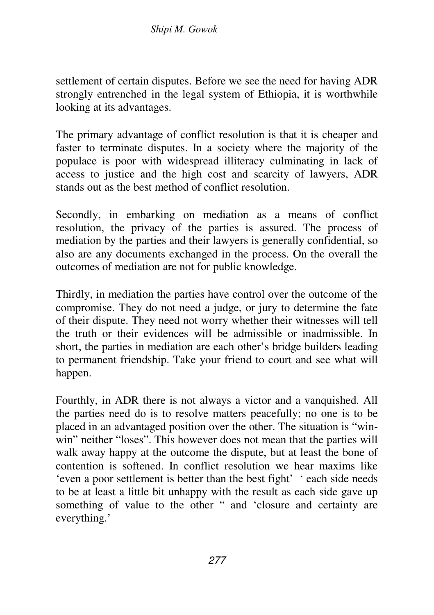settlement of certain disputes. Before we see the need for having ADR strongly entrenched in the legal system of Ethiopia, it is worthwhile looking at its advantages.

The primary advantage of conflict resolution is that it is cheaper and faster to terminate disputes. In a society where the majority of the populace is poor with widespread illiteracy culminating in lack of access to justice and the high cost and scarcity of lawyers, ADR stands out as the best method of conflict resolution.

Secondly, in embarking on mediation as a means of conflict resolution, the privacy of the parties is assured. The process of mediation by the parties and their lawyers is generally confidential, so also are any documents exchanged in the process. On the overall the outcomes of mediation are not for public knowledge.

Thirdly, in mediation the parties have control over the outcome of the compromise. They do not need a judge, or jury to determine the fate of their dispute. They need not worry whether their witnesses will tell the truth or their evidences will be admissible or inadmissible. In short, the parties in mediation are each other's bridge builders leading to permanent friendship. Take your friend to court and see what will happen.

Fourthly, in ADR there is not always a victor and a vanquished. All the parties need do is to resolve matters peacefully; no one is to be placed in an advantaged position over the other. The situation is "winwin" neither "loses". This however does not mean that the parties will walk away happy at the outcome the dispute, but at least the bone of contention is softened. In conflict resolution we hear maxims like 'even a poor settlement is better than the best fight' ' each side needs to be at least a little bit unhappy with the result as each side gave up something of value to the other " and 'closure and certainty are everything.'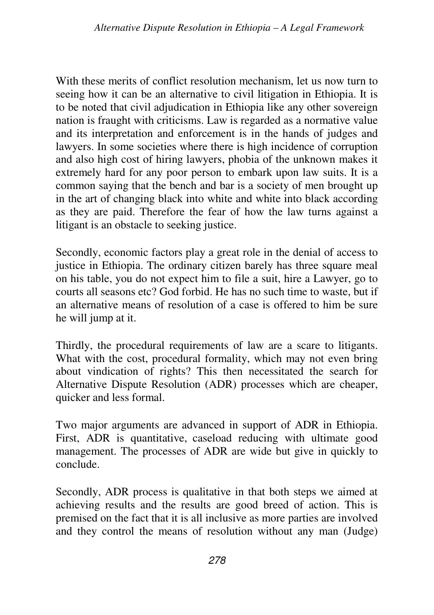With these merits of conflict resolution mechanism, let us now turn to seeing how it can be an alternative to civil litigation in Ethiopia. It is to be noted that civil adjudication in Ethiopia like any other sovereign nation is fraught with criticisms. Law is regarded as a normative value and its interpretation and enforcement is in the hands of judges and lawyers. In some societies where there is high incidence of corruption and also high cost of hiring lawyers, phobia of the unknown makes it extremely hard for any poor person to embark upon law suits. It is a common saying that the bench and bar is a society of men brought up in the art of changing black into white and white into black according as they are paid. Therefore the fear of how the law turns against a litigant is an obstacle to seeking justice.

Secondly, economic factors play a great role in the denial of access to justice in Ethiopia. The ordinary citizen barely has three square meal on his table, you do not expect him to file a suit, hire a Lawyer, go to courts all seasons etc? God forbid. He has no such time to waste, but if an alternative means of resolution of a case is offered to him be sure he will jump at it.

Thirdly, the procedural requirements of law are a scare to litigants. What with the cost, procedural formality, which may not even bring about vindication of rights? This then necessitated the search for Alternative Dispute Resolution (ADR) processes which are cheaper, quicker and less formal.

Two major arguments are advanced in support of ADR in Ethiopia. First, ADR is quantitative, caseload reducing with ultimate good management. The processes of ADR are wide but give in quickly to conclude.

Secondly, ADR process is qualitative in that both steps we aimed at achieving results and the results are good breed of action. This is premised on the fact that it is all inclusive as more parties are involved and they control the means of resolution without any man (Judge)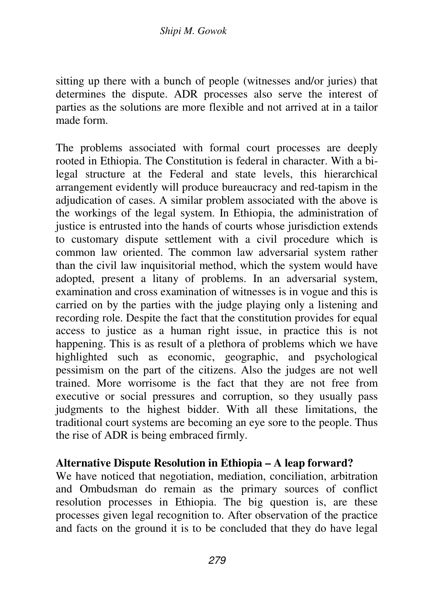sitting up there with a bunch of people (witnesses and/or juries) that determines the dispute. ADR processes also serve the interest of parties as the solutions are more flexible and not arrived at in a tailor made form.

The problems associated with formal court processes are deeply rooted in Ethiopia. The Constitution is federal in character. With a bilegal structure at the Federal and state levels, this hierarchical arrangement evidently will produce bureaucracy and red-tapism in the adjudication of cases. A similar problem associated with the above is the workings of the legal system. In Ethiopia, the administration of justice is entrusted into the hands of courts whose jurisdiction extends to customary dispute settlement with a civil procedure which is common law oriented. The common law adversarial system rather than the civil law inquisitorial method, which the system would have adopted, present a litany of problems. In an adversarial system, examination and cross examination of witnesses is in vogue and this is carried on by the parties with the judge playing only a listening and recording role. Despite the fact that the constitution provides for equal access to justice as a human right issue, in practice this is not happening. This is as result of a plethora of problems which we have highlighted such as economic, geographic, and psychological pessimism on the part of the citizens. Also the judges are not well trained. More worrisome is the fact that they are not free from executive or social pressures and corruption, so they usually pass judgments to the highest bidder. With all these limitations, the traditional court systems are becoming an eye sore to the people. Thus the rise of ADR is being embraced firmly.

### **Alternative Dispute Resolution in Ethiopia – A leap forward?**

We have noticed that negotiation, mediation, conciliation, arbitration and Ombudsman do remain as the primary sources of conflict resolution processes in Ethiopia. The big question is, are these processes given legal recognition to. After observation of the practice and facts on the ground it is to be concluded that they do have legal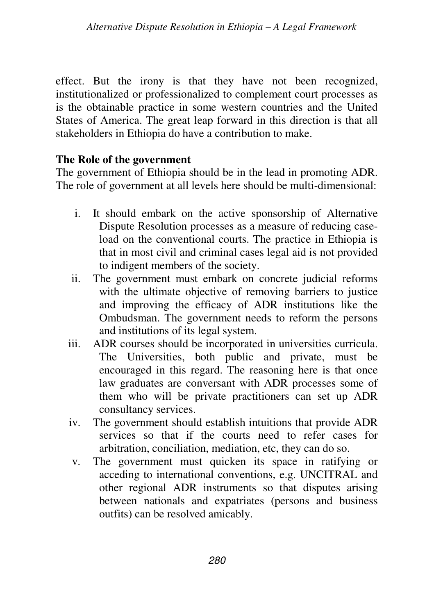effect. But the irony is that they have not been recognized, institutionalized or professionalized to complement court processes as is the obtainable practice in some western countries and the United States of America. The great leap forward in this direction is that all stakeholders in Ethiopia do have a contribution to make.

# **The Role of the government**

The government of Ethiopia should be in the lead in promoting ADR. The role of government at all levels here should be multi-dimensional:

- i. It should embark on the active sponsorship of Alternative Dispute Resolution processes as a measure of reducing caseload on the conventional courts. The practice in Ethiopia is that in most civil and criminal cases legal aid is not provided to indigent members of the society.
- ii. The government must embark on concrete judicial reforms with the ultimate objective of removing barriers to justice and improving the efficacy of ADR institutions like the Ombudsman. The government needs to reform the persons and institutions of its legal system.
- iii. ADR courses should be incorporated in universities curricula. The Universities, both public and private, must be encouraged in this regard. The reasoning here is that once law graduates are conversant with ADR processes some of them who will be private practitioners can set up ADR consultancy services.
- iv. The government should establish intuitions that provide ADR services so that if the courts need to refer cases for arbitration, conciliation, mediation, etc, they can do so.
- v. The government must quicken its space in ratifying or acceding to international conventions, e.g. UNCITRAL and other regional ADR instruments so that disputes arising between nationals and expatriates (persons and business outfits) can be resolved amicably.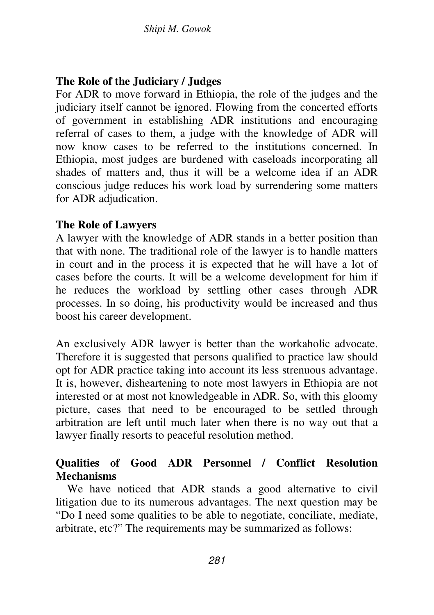### **The Role of the Judiciary / Judges**

For ADR to move forward in Ethiopia, the role of the judges and the judiciary itself cannot be ignored. Flowing from the concerted efforts of government in establishing ADR institutions and encouraging referral of cases to them, a judge with the knowledge of ADR will now know cases to be referred to the institutions concerned. In Ethiopia, most judges are burdened with caseloads incorporating all shades of matters and, thus it will be a welcome idea if an ADR conscious judge reduces his work load by surrendering some matters for ADR adjudication.

### **The Role of Lawyers**

A lawyer with the knowledge of ADR stands in a better position than that with none. The traditional role of the lawyer is to handle matters in court and in the process it is expected that he will have a lot of cases before the courts. It will be a welcome development for him if he reduces the workload by settling other cases through ADR processes. In so doing, his productivity would be increased and thus boost his career development.

An exclusively ADR lawyer is better than the workaholic advocate. Therefore it is suggested that persons qualified to practice law should opt for ADR practice taking into account its less strenuous advantage. It is, however, disheartening to note most lawyers in Ethiopia are not interested or at most not knowledgeable in ADR. So, with this gloomy picture, cases that need to be encouraged to be settled through arbitration are left until much later when there is no way out that a lawyer finally resorts to peaceful resolution method.

# **Qualities of Good ADR Personnel / Conflict Resolution Mechanisms**

We have noticed that ADR stands a good alternative to civil litigation due to its numerous advantages. The next question may be "Do I need some qualities to be able to negotiate, conciliate, mediate, arbitrate, etc?" The requirements may be summarized as follows: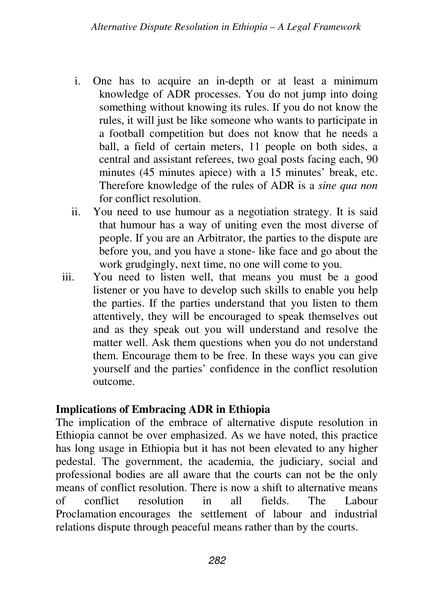- i. One has to acquire an in-depth or at least a minimum knowledge of ADR processes. You do not jump into doing something without knowing its rules. If you do not know the rules, it will just be like someone who wants to participate in a football competition but does not know that he needs a ball, a field of certain meters, 11 people on both sides, a central and assistant referees, two goal posts facing each, 90 minutes (45 minutes apiece) with a 15 minutes' break, etc. Therefore knowledge of the rules of ADR is a *sine qua non* for conflict resolution.
- ii. You need to use humour as a negotiation strategy. It is said that humour has a way of uniting even the most diverse of people. If you are an Arbitrator, the parties to the dispute are before you, and you have a stone- like face and go about the work grudgingly, next time, no one will come to you.
- iii. You need to listen well, that means you must be a good listener or you have to develop such skills to enable you help the parties. If the parties understand that you listen to them attentively, they will be encouraged to speak themselves out and as they speak out you will understand and resolve the matter well. Ask them questions when you do not understand them. Encourage them to be free. In these ways you can give yourself and the parties' confidence in the conflict resolution outcome.

# **Implications of Embracing ADR in Ethiopia**

The implication of the embrace of alternative dispute resolution in Ethiopia cannot be over emphasized. As we have noted, this practice has long usage in Ethiopia but it has not been elevated to any higher pedestal. The government, the academia, the judiciary, social and professional bodies are all aware that the courts can not be the only means of conflict resolution. There is now a shift to alternative means of conflict resolution in all fields. The Labour Proclamation encourages the settlement of labour and industrial relations dispute through peaceful means rather than by the courts.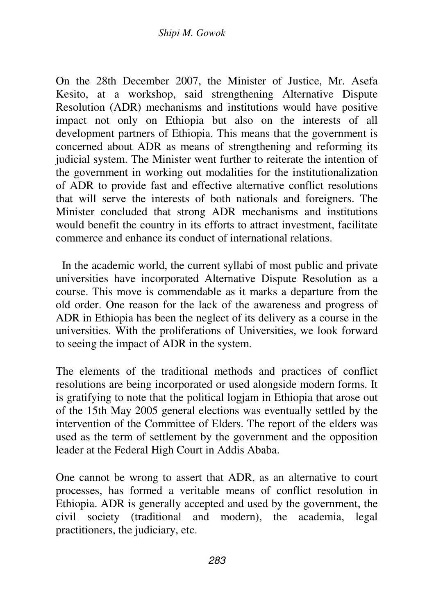On the 28th December 2007, the Minister of Justice, Mr. Asefa Kesito, at a workshop, said strengthening Alternative Dispute Resolution (ADR) mechanisms and institutions would have positive impact not only on Ethiopia but also on the interests of all development partners of Ethiopia. This means that the government is concerned about ADR as means of strengthening and reforming its judicial system. The Minister went further to reiterate the intention of the government in working out modalities for the institutionalization of ADR to provide fast and effective alternative conflict resolutions that will serve the interests of both nationals and foreigners. The Minister concluded that strong ADR mechanisms and institutions would benefit the country in its efforts to attract investment, facilitate commerce and enhance its conduct of international relations.

 In the academic world, the current syllabi of most public and private universities have incorporated Alternative Dispute Resolution as a course. This move is commendable as it marks a departure from the old order. One reason for the lack of the awareness and progress of ADR in Ethiopia has been the neglect of its delivery as a course in the universities. With the proliferations of Universities, we look forward to seeing the impact of ADR in the system.

The elements of the traditional methods and practices of conflict resolutions are being incorporated or used alongside modern forms. It is gratifying to note that the political logjam in Ethiopia that arose out of the 15th May 2005 general elections was eventually settled by the intervention of the Committee of Elders. The report of the elders was used as the term of settlement by the government and the opposition leader at the Federal High Court in Addis Ababa.

One cannot be wrong to assert that ADR, as an alternative to court processes, has formed a veritable means of conflict resolution in Ethiopia. ADR is generally accepted and used by the government, the civil society (traditional and modern), the academia, legal practitioners, the judiciary, etc.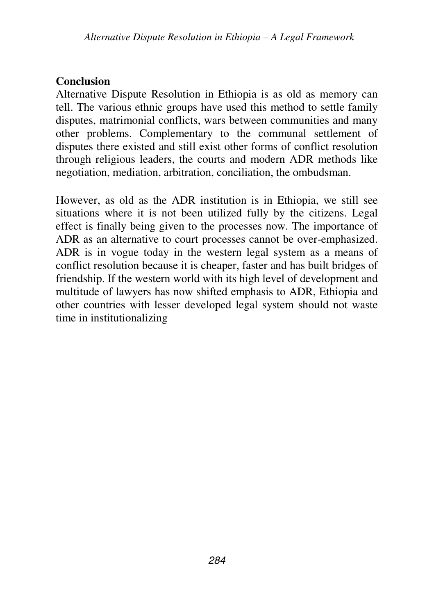## **Conclusion**

Alternative Dispute Resolution in Ethiopia is as old as memory can tell. The various ethnic groups have used this method to settle family disputes, matrimonial conflicts, wars between communities and many other problems. Complementary to the communal settlement of disputes there existed and still exist other forms of conflict resolution through religious leaders, the courts and modern ADR methods like negotiation, mediation, arbitration, conciliation, the ombudsman.

However, as old as the ADR institution is in Ethiopia, we still see situations where it is not been utilized fully by the citizens. Legal effect is finally being given to the processes now. The importance of ADR as an alternative to court processes cannot be over-emphasized. ADR is in vogue today in the western legal system as a means of conflict resolution because it is cheaper, faster and has built bridges of friendship. If the western world with its high level of development and multitude of lawyers has now shifted emphasis to ADR, Ethiopia and other countries with lesser developed legal system should not waste time in institutionalizing